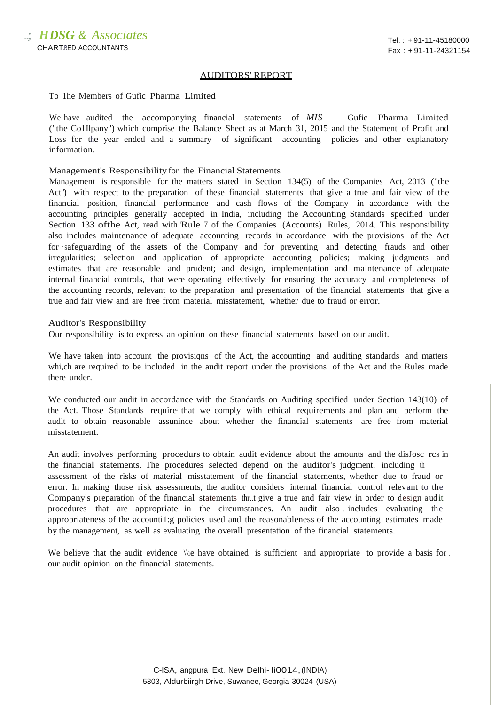## AUDITORS' REPORT

## To 1he Members of Gufic Pharma Limited

We have audited the accompanying financial statements of *MIS* Gufic Pharma Limited ("the Co1Ilpany") which comprise the Balance Sheet as at March 31, 2015 and the Statement of Profit and Loss for the year ended and a summary of significant accounting policies and other explanatory information.

## Management's Responsibility for the Financial Statements

Management is responsible for the matters stated in Section 134(5) of the Companies Act, 2013 ("the Act") with respect to the preparation of these financial statements that give a true and fair view of the financial position, financial performance and cash flows of the Company in accordance with the accounting principles generally accepted in India, including the Accounting Standards specified under Section 133 of the Act, read with Rule 7 of the Companies (Accounts) Rules, 2014. This responsibility also includes maintenance of adequate accounting records in accordance with the provisions of the Act for ·safeguarding of the assets of the Company and for preventing and detecting frauds and other irregularities; selection and application of appropriate accounting policies; making judgments and estimates that are reasonable and prudent; and design, implementation and maintenance of adequate internal financial controls, that were operating effectively for ensuring the accuracy and completeness of the accounting records, relevant to the preparation and presentation of the financial statements that give a true and fair view and are free from material misstatement, whether due to fraud or error.

## Auditor's Responsibility

Our responsibility is to express an opinion on these financial statements based on our audit.

We have taken into account the provisiqns of the Act, the accounting and auditing standards and matters whi,ch are required to be included in the audit report under the provisions of the Act and the Rules made there under.

We conducted our audit in accordance with the Standards on Auditing specified under Section 143(10) of the Act. Those Standards require· that we comply with ethical requirements and plan and perform the audit to obtain reasonable assunince about whether the financial statements are free from material misstatement.

An audit involves performing procedurs to obtain audit evidence about the amounts and the disJosc rcs in the financial statements. The procedures selected depend on the auditor's judgment, including th assessment of the risks of material misstatement of the financial statements, whether due to fraud or error. In making those risk assessments, the auditor considers internal financial control relevant to the Company's preparation of the financial statements thr..t give a true and fair view in order to design audit procedures that are appropriate in the circumstances. An audit also . includes evaluating the appropriateness of the accounti1:g policies used and the reasonableness of the accounting estimates made by the management, as well as evaluating the overall presentation of the financial statements.

We believe that the audit evidence  $\iota$  have obtained is sufficient and appropriate to provide a basis for . our audit opinion on the financial statements.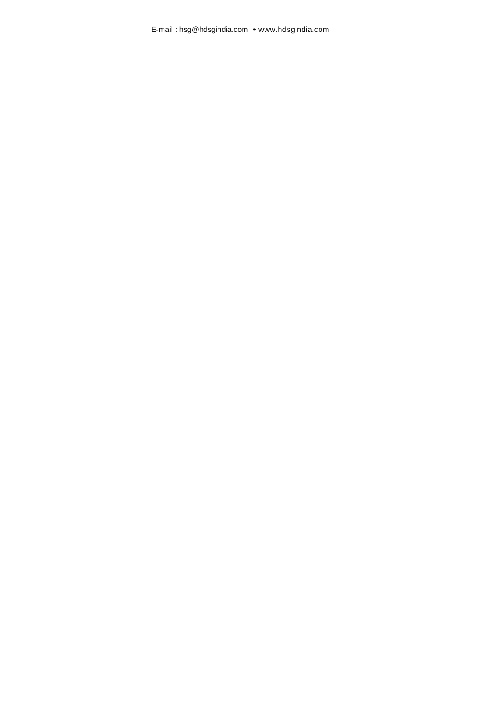E-mail : [hsg@hdsgindia.com •](mailto:hsg@hdsgindia.com) [www.hdsgindia.com](http://www.hdsgindia.com/)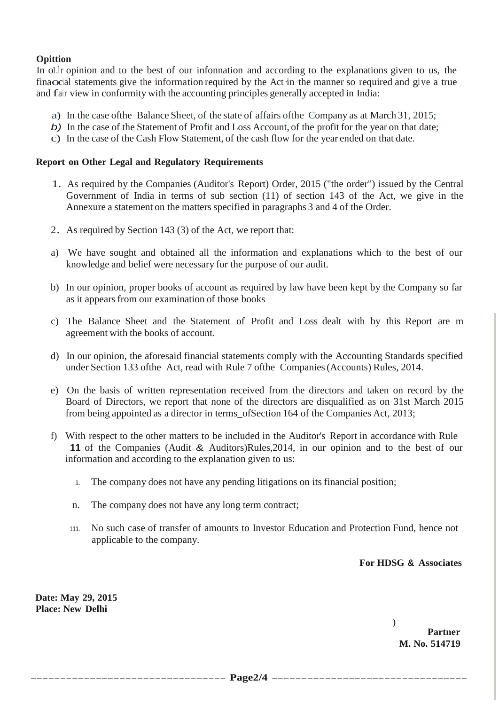# **Opittion**

In o1.lr opinion and to the best of our infonnation and according to the explanations given to us, the finaocial statements give the information required by the Act in the manner so required and give a true and fair view in conformity with the accounting principles generally accepted in India:

- a) In the case ofthe Balance Sheet, of the state of affairs ofthe Company as at March 31, 2015;
- *b)* In the case of the Statement of Profit and Loss Account, of the profit for the year on that date;
- c) In the case of the Cash Flow Statement, of the cash flow for the year ended on that date.

## **Report on Other Legal and Regulatory Requirements**

- 1. As required by the Companies (Auditor's Report) Order, 2015 ("the order") issued by the Central Government of India in terms of sub section (11) of section 143 of the Act, we give in the Annexure a statement on the matters specified in paragraphs 3 and 4 of the Order.
- 2. As required by Section <sup>143</sup> (3) of the Act, we report that:
- a) We have sought and obtained all the information and explanations which to the best of our knowledge and belief were necessary for the purpose of our audit.
- b) In our opinion, proper books of account as required by law have been kept by the Company so far as it appearsfrom our examination of those books
- c) The Balance Sheet and the Statement of Profit and Loss dealt with by this Report are m agreement with the books of account.
- d) In our opinion, the aforesaid financial statements comply with the Accounting Standards specified under Section 133 ofthe Act, read with Rule 7 ofthe Companies(Accounts) Rules, 2014.
- e) On the basis of written representation received from the directors and taken on record by the Board of Directors, we report that none of the directors are disqualified as on 31st March 2015 from being appointed as a director in terms\_ofSection 164 of the Companies Act, 2013;
- f) With respect to the other matters to be included in the Auditor's Report in accordance with Rule **11** of the Companies (Audit & Auditors)Rules,2014, in our opinion and to the best of our information and according to the explanation given to us:
	- 1. The company does not have any pending litigations on its financial position;
	- n. The company does not have any long term contract;
	- 111. No such case of transfer of amounts to Investor Education and Protection Fund, hence not applicable to the company.

**For HDSG & Associates**

**Date: May 29, 2015 Place: New Delhi**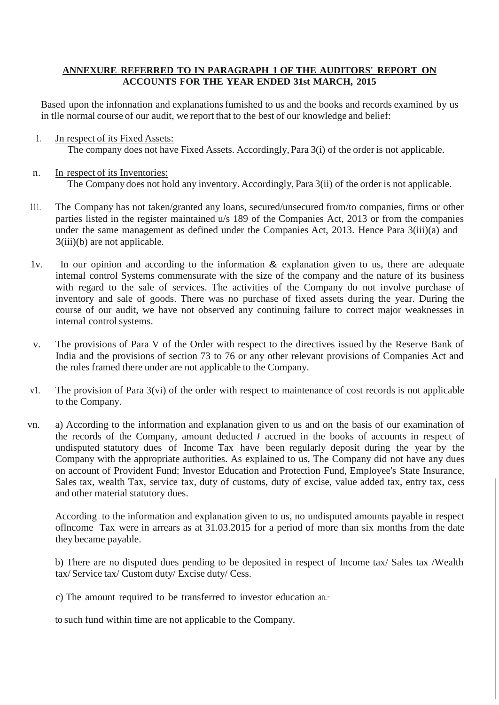## **ANNEXURE REFERRED TO IN PARAGRAPH 1 OF THE AUDITORS' REPORT ON ACCOUNTS FOR THE YEAR ENDED 31st MARCH, 2015**

Based upon the infonnation and explanations fumished to us and the books and records examined by us in tlle normal course of our audit, we report that to the best of our knowledge and belief:

- 1. Jn respect of its Fixed Assets: The company does not have Fixed Assets. Accordingly, Para 3(i) of the order is not applicable.
- n. In respect of its Inventories: The Company does not hold any inventory. Accordingly, Para 3(ii) of the order is not applicable.
- 111. The Company has not taken/granted any loans, secured/unsecured from/to companies, firms or other parties listed in the register maintained u/s 189 of the Companies Act, 2013 or from the companies under the same management as defined under the Companies Act, 2013. Hence Para 3(iii)(a) and 3(iii)(b) are not applicable.
- 1v. In our opinion and according to the information & explanation given to us, there are adequate intemal control Systems commensurate with the size of the company and the nature of its business with regard to the sale of services. The activities of the Company do not involve purchase of inventory and sale of goods. There was no purchase of fixed assets during the year. During the course of our audit, we have not observed any continuing failure to correct major weaknesses in intemal control systems.
- v. The provisions of Para V of the Order with respect to the directives issued by the Reserve Bank of India and the provisions of section 73 to 76 or any other relevant provisions of Companies Act and the rules framed there under are not applicable to the Company.
- v1. The provision of Para 3(vi) of the order with respect to maintenance of cost records is not applicable to the Company.
- vn. a) According to the information and explanation given to us and on the basis of our examination of the records of the Company, amount deducted *I* accrued in the books of accounts in respect of undisputed statutory dues of Income Tax have been regularly deposit during the year by the Company with the appropriate authorities. As explained to us, The Company did not have any dues on account of Provident Fund; Investor Education and Protection Fund, Employee's State Insurance, Sales tax, wealth Tax, service tax, duty of customs, duty of excise, value added tax, entry tax, cess and other material statutory dues.

According . to the information and explanation given to us, no undisputed amounts payable in respect oflncome Tax were in arrears as at 31.03.2015 for a period of more than six months from the date they became payable.

b) There are no disputed dues pending to be deposited in respect of Income tax/ Sales tax /Wealth tax/ Service tax/ Custom duty/ Excise duty/ Cess.

c) The amount required to be transferred to investor education an..··

to such fund within time are not applicable to the Company.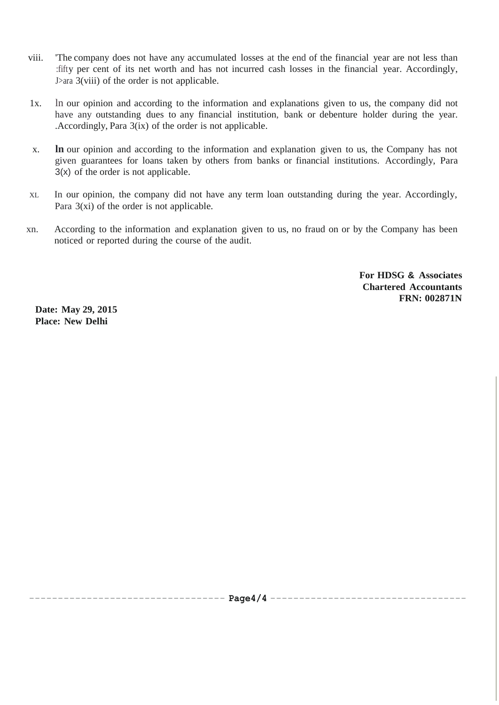- viii. 'The company does not have any accumulated losses at the end of the financial year are not less than :fifty per cent of its net worth and has not incurred cash losses in the financial year. Accordingly, J>ara 3(viii) of the order is not applicable.
- 1x. ln our opinion and according to the information and explanations given to us, the company did not have any outstanding dues to any financial institution, bank or debenture holder during the year. .Accordingly, Para 3(ix) of the order is not applicable.
- x. **ln** our opinion and according to the information and explanation given to us, the Company has not given guarantees for loans taken by others from banks or financial institutions. Accordingly, Para 3(x) of the order is not applicable.
- XL In our opinion, the company did not have any term loan outstanding during the year. Accordingly, Para 3(xi) of the order is not applicable.
- xn. According to the information and explanation given to us, no fraud on or by the Company has been noticed or reported during the course of the audit.

**For HDSG & Associates Chartered Accountants FRN: 002871N**

**Date: May 29, 2015 Place: New Delhi**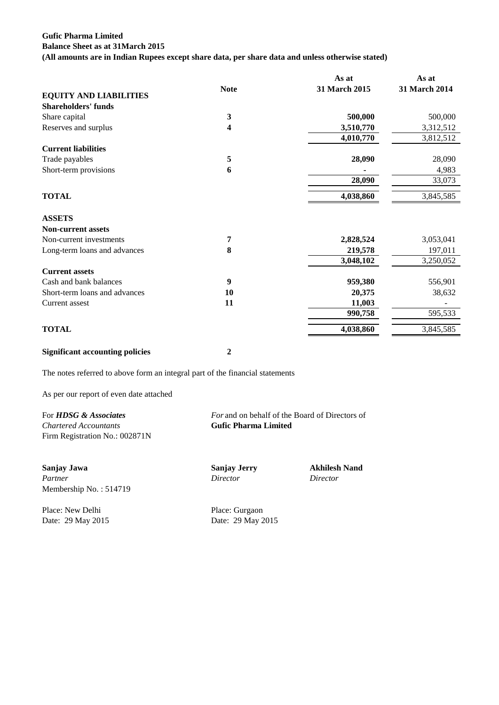## **Gufic Pharma Limited Balance Sheet as at 31March 2015 (All amounts are in Indian Rupees except share data, per share data and unless otherwise stated)**

|             | As at         | As at         |
|-------------|---------------|---------------|
| <b>Note</b> | 31 March 2015 | 31 March 2014 |
|             |               |               |
|             |               |               |
| 3           | 500,000       | 500,000       |
| 4           | 3,510,770     | 3,312,512     |
|             | 4,010,770     | 3,812,512     |
|             |               |               |
| 5           | 28,090        | 28,090        |
| 6           |               | 4,983         |
|             | 28,090        | 33,073        |
|             | 4,038,860     | 3,845,585     |
|             |               |               |
|             |               |               |
| 7           | 2,828,524     | 3,053,041     |
| 8           | 219,578       | 197,011       |
|             | 3,048,102     | 3,250,052     |
|             |               |               |
| 9           | 959,380       | 556,901       |
| 10          | 20,375        | 38,632        |
| 11          | 11,003        |               |
|             | 990,758       | 595,533       |
|             | 4,038,860     | 3,845,585     |
|             |               |               |

**Significant accounting policies 2**

The notes referred to above form an integral part of the financial statements

As per our report of even date attached

For **HDSG & Associates** *For* and on behalf of the Board of Directors of *Chartered Accountants* **Gufic Pharma Limited** Firm Registration No.: 002871N

**Sanjay Jawa Sanjay Jerry Akhilesh Nand** *Partner Director Director* Membership No. : 514719

Place: New Delhi Place: Gurgaon Date: 29 May 2015 Date: 29 May 2015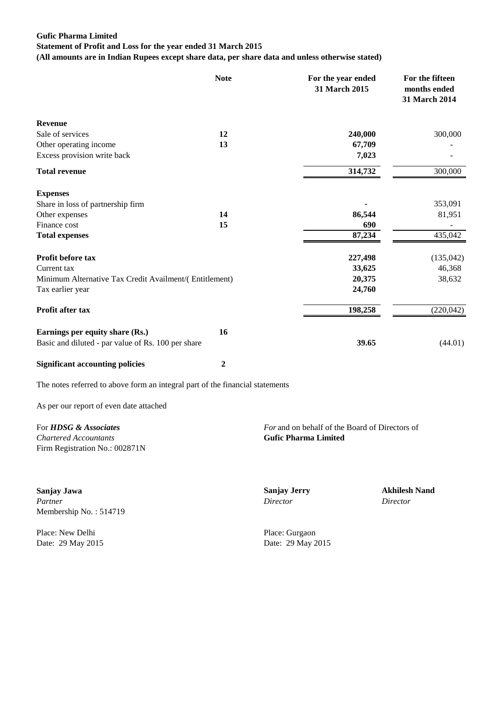## **Gufic Pharma Limited Statement of Profit and Loss for the year ended 31 March 2015**

**(All amounts are in Indian Rupees except share data, per share data and unless otherwise stated)**

|                                                        | <b>Note</b> | For the year ended<br>31 March 2015 | For the fifteen<br>months ended<br>31 March 2014 |
|--------------------------------------------------------|-------------|-------------------------------------|--------------------------------------------------|
| <b>Revenue</b>                                         |             |                                     |                                                  |
| Sale of services                                       | 12          | 240,000                             | 300,000                                          |
| Other operating income                                 | 13          | 67,709                              |                                                  |
| Excess provision write back                            |             | 7,023                               |                                                  |
| <b>Total revenue</b>                                   |             | 314,732                             | 300,000                                          |
| <b>Expenses</b>                                        |             |                                     |                                                  |
| Share in loss of partnership firm                      |             |                                     | 353,091                                          |
| Other expenses                                         | 14          | 86,544                              | 81,951                                           |
| Finance cost                                           | 15          | 690                                 |                                                  |
| <b>Total expenses</b>                                  |             | 87,234                              | 435,042                                          |
| Profit before tax                                      |             | 227,498                             | (135, 042)                                       |
| Current tax                                            |             | 33,625                              | 46,368                                           |
| Minimum Alternative Tax Credit Availment/(Entitlement) |             | 20,375                              | 38,632                                           |
| Tax earlier year                                       |             | 24,760                              |                                                  |
| Profit after tax                                       |             | 198,258                             | (220, 042)                                       |
| Earnings per equity share (Rs.)                        | 16          |                                     |                                                  |
| Basic and diluted - par value of Rs. 100 per share     |             | 39.65                               | (44.01)                                          |
| <b>Significant accounting policies</b>                 | 2           |                                     |                                                  |

The notes referred to above form an integral part of the financial statements

As per our report of even date attached

*Chartered Accountants* **Gufic Pharma Limited** Firm Registration No.: 002871N

**Sanjay Jawa Sanjay Jerry Akhilesh Nand** *Partner Director Director* Membership No. : 514719

Place: New Delhi Place: Gurgaon

For **HDSG & Associates** *For* **and on behalf of the Board of Directors of** 

Date: 29 May 2015 Date: 29 May 2015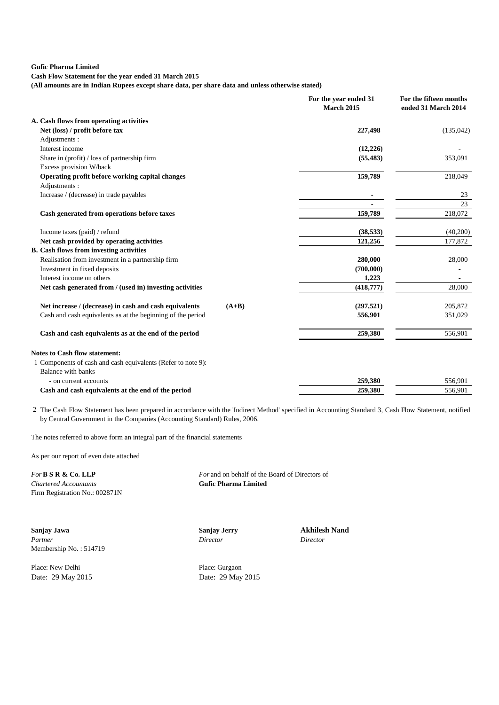**Cash Flow Statement for the year ended 31 March 2015**

**(All amounts are in Indian Rupees except share data, per share data and unless otherwise stated)**

|                                                                   | For the year ended 31<br><b>March 2015</b> | For the fifteen months<br>ended 31 March 2014 |
|-------------------------------------------------------------------|--------------------------------------------|-----------------------------------------------|
| A. Cash flows from operating activities                           |                                            |                                               |
| Net (loss) / profit before tax                                    | 227,498                                    | (135,042)                                     |
| Adjustments:                                                      |                                            |                                               |
| Interest income                                                   | (12,226)                                   |                                               |
| Share in (profit) / loss of partnership firm                      | (55, 483)                                  | 353,091                                       |
| Excess provision W/back                                           |                                            |                                               |
| Operating profit before working capital changes                   | 159,789                                    | 218,049                                       |
| Adjustments:                                                      |                                            |                                               |
| Increase / (decrease) in trade payables                           |                                            | 23                                            |
|                                                                   |                                            | 23                                            |
| Cash generated from operations before taxes                       | 159,789                                    | 218,072                                       |
| Income taxes (paid) / refund                                      | (38, 533)                                  | (40,200)                                      |
| Net cash provided by operating activities                         | 121,256                                    | 177,872                                       |
| <b>B.</b> Cash flows from investing activities                    |                                            |                                               |
| Realisation from investment in a partnership firm                 | 280,000                                    | 28,000                                        |
| Investment in fixed deposits                                      | (700,000)                                  |                                               |
| Interest income on others                                         | 1,223                                      |                                               |
| Net cash generated from / (used in) investing activities          | (418,777)                                  | 28,000                                        |
| Net increase / (decrease) in cash and cash equivalents<br>$(A+B)$ | (297, 521)                                 | 205,872                                       |
| Cash and cash equivalents as at the beginning of the period       | 556,901                                    | 351,029                                       |
| Cash and cash equivalents as at the end of the period             | 259,380                                    | 556,901                                       |
| <b>Notes to Cash flow statement:</b>                              |                                            |                                               |
| 1 Components of cash and cash equivalents (Refer to note 9):      |                                            |                                               |
| Balance with banks                                                |                                            |                                               |
| - on current accounts                                             | 259,380                                    | 556,901                                       |
| Cash and cash equivalents at the end of the period                | 259,380                                    | 556,901                                       |

2 The Cash Flow Statement has been prepared in accordance with the 'Indirect Method' specified in Accounting Standard 3, Cash Flow Statement, notified by Central Government in the Companies (Accounting Standard) Rules, 2006.

The notes referred to above form an integral part of the financial statements

As per our report of even date attached

 $$ Firm Registration No.: 002871N

**For B S R & Co. LLP** *For* and on behalf of the Board of Directors of *Chartered Accountants* **Guide Constants** 

**Sanjay Jawa Sanjay Jerry Akhilesh Nand** *Partner Director Director* Membership No. : 514719

Place: New Delhi Place: Gurgaon

Date: 29 May 2015 Date: 29 May 2015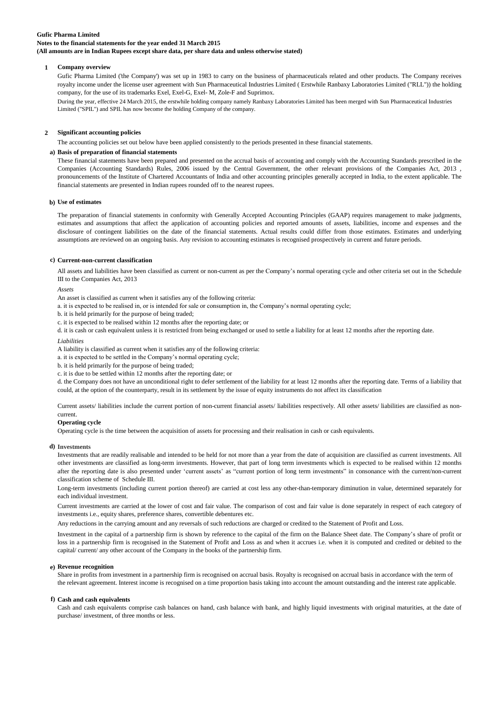## **Gufic Pharma Limited Notes to the financial statements for the year ended 31 March 2015**

**(All amounts are in Indian Rupees except share data, per share data and unless otherwise stated)**

#### **1 Company overview**

Gufic Pharma Limited ('the Company') was set up in 1983 to carry on the business of pharmaceuticals related and other products. The Company receives royalty income under the license user agreement with Sun Pharmaceutical Industries Limited ( Erstwhile Ranbaxy Laboratories Limited ("RLL")) the holding company, for the use of its trademarks Exel, Exel-G, Exel- M, Zole-F and Suprimox.

During the year, effective 24 March 2015, the erstwhile holding company namely Ranbaxy Laboratories Limited has been merged with Sun Pharmaceutical Industries Limited ("SPIL") and SPIL has now become the holding Company of the company.

#### **2 Significant accounting policies**

The accounting policies set out below have been applied consistently to the periods presented in these financial statements.

#### **a) Basis of preparation of financial statements**

These financial statements have been prepared and presented on the accrual basis of accounting and comply with the Accounting Standards prescribed in the Companies (Accounting Standards) Rules, 2006 issued by the Central Government, the other relevant provisions of the Companies Act, 2013 , pronouncements of the Institute of Chartered Accountants of India and other accounting principles generally accepted in India, to the extent applicable. The financial statements are presented in Indian rupees rounded off to the nearest rupees.

#### **b) Use of estimates**

The preparation of financial statements in conformity with Generally Accepted Accounting Principles (GAAP) requires management to make judgments, estimates and assumptions that affect the application of accounting policies and reported amounts of assets, liabilities, income and expenses and the disclosure of contingent liabilities on the date of the financial statements. Actual results could differ from those estimates. Estimates and underlying assumptions are reviewed on an ongoing basis. Any revision to accounting estimates is recognised prospectively in current and future periods.

#### **c) Current-non-current classification**

All assets and liabilities have been classified as current or non-current as per the Company"s normal operating cycle and other criteria set out in the Schedule III to the Companies Act, 2013

#### *Assets*

An asset is classified as current when it satisfies any of the following criteria:

a. it is expected to be realised in, or is intended for sale or consumption in, the Company"s normal operating cycle;

b. it is held primarily for the purpose of being traded;

c. it is expected to be realised within 12 months after the reporting date; or

d. it is cash or cash equivalent unless it is restricted from being exchanged or used to settle a liability for at least 12 months after the reporting date.

#### *Liabilities*

A liability is classified as current when it satisfies any of the following criteria:

a. it is expected to be settled in the Company"s normal operating cycle;

b. it is held primarily for the purpose of being traded;

c. it is due to be settled within 12 months after the reporting date; or

d. the Company does not have an unconditional right to defer settlement of the liability for at least 12 months after the reporting date. Terms of a liability that could, at the option of the counterparty, result in its settlement by the issue of equity instruments do not affect its classification

Current assets/ liabilities include the current portion of non-current financial assets/ liabilities respectively. All other assets/ liabilities are classified as noncurrent.

#### **Operating cycle**

Operating cycle is the time between the acquisition of assets for processing and their realisation in cash or cash equivalents.

#### **d) Investments**

Investments that are readily realisable and intended to be held for not more than a year from the date of acquisition are classified as current investments. All other investments are classified as long-term investments. However, that part of long term investments which is expected to be realised within 12 months after the reporting date is also presented under "current assets" as "current portion of long term investments" in consonance with the current/non-current classification scheme of Schedule III.

Long-term investments (including current portion thereof) are carried at cost less any other-than-temporary diminution in value, determined separately for each individual investment.

Current investments are carried at the lower of cost and fair value. The comparison of cost and fair value is done separately in respect of each category of investments i.e., equity shares, preference shares, convertible debentures etc.

Any reductions in the carrying amount and any reversals of such reductions are charged or credited to the Statement of Profit and Loss.

Investment in the capital of a partnership firm is shown by reference to the capital of the firm on the Balance Sheet date. The Company"s share of profit or loss in a partnership firm is recognised in the Statement of Profit and Loss as and when it accrues i.e. when it is computed and credited or debited to the capital/ current/ any other account of the Company in the books of the partnership firm.

#### **e) Revenue recognition**

Share in profits from investment in a partnership firm is recognised on accrual basis. Royalty is recognised on accrual basis in accordance with the term of the relevant agreement. Interest income is recognised on a time proportion basis taking into account the amount outstanding and the interest rate applicable.

#### **f) Cash and cash equivalents**

Cash and cash equivalents comprise cash balances on hand, cash balance with bank, and highly liquid investments with original maturities, at the date of purchase/ investment, of three months or less.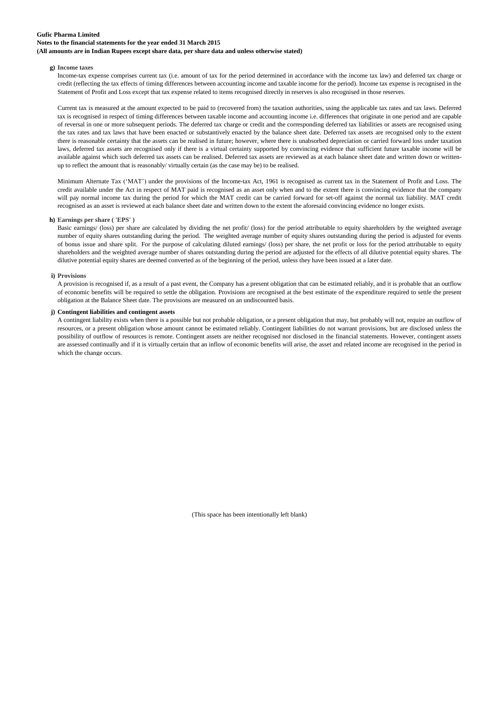### **Notes to the financial statements for the year ended 31 March 2015**

**(All amounts are in Indian Rupees except share data, per share data and unless otherwise stated)**

### **g) Income taxes**

Income-tax expense comprises current tax (i.e. amount of tax for the period determined in accordance with the income tax law) and deferred tax charge or credit (reflecting the tax effects of timing differences between accounting income and taxable income for the period). Income tax expense is recognised in the Statement of Profit and Loss except that tax expense related to items recognised directly in reserves is also recognised in those reserves.

Current tax is measured at the amount expected to be paid to (recovered from) the taxation authorities, using the applicable tax rates and tax laws. Deferred tax is recognised in respect of timing differences between taxable income and accounting income i.e. differences that originate in one period and are capable of reversal in one or more subsequent periods. The deferred tax charge or credit and the corresponding deferred tax liabilities or assets are recognised using the tax rates and tax laws that have been enacted or substantively enacted by the balance sheet date. Deferred tax assets are recognised only to the extent there is reasonable certainty that the assets can be realised in future; however, where there is unabsorbed depreciation or carried forward loss under taxation laws, deferred tax assets are recognised only if there is a virtual certainty supported by convincing evidence that sufficient future taxable income will be available against which such deferred tax assets can be realised. Deferred tax assets are reviewed as at each balance sheet date and written down or writtenup to reflect the amount that is reasonably/ virtually certain (as the case may be) to be realised.

Minimum Alternate Tax ("MAT") under the provisions of the Income-tax Act, 1961 is recognised as current tax in the Statement of Profit and Loss. The credit available under the Act in respect of MAT paid is recognised as an asset only when and to the extent there is convincing evidence that the company will pay normal income tax during the period for which the MAT credit can be carried forward for set-off against the normal tax liability. MAT credit recognised as an asset is reviewed at each balance sheet date and written down to the extent the aforesaid convincing evidence no longer exists.

#### **h) Earnings per share ( 'EPS' )**

Basic earnings/ (loss) per share are calculated by dividing the net profit/ (loss) for the period attributable to equity shareholders by the weighted average number of equity shares outstanding during the period. The weighted average number of equity shares outstanding during the period is adjusted for events of bonus issue and share split. For the purpose of calculating diluted earnings/ (loss) per share, the net profit or loss for the period attributable to equity shareholders and the weighted average number of shares outstanding during the period are adjusted for the effects of all dilutive potential equity shares. The dilutive potential equity shares are deemed converted as of the beginning of the period, unless they have been issued at a later date.

#### **i) Provisions**

A provision is recognised if, as a result of a past event, the Company has a present obligation that can be estimated reliably, and it is probable that an outflow of economic benefits will be required to settle the obligation. Provisions are recognised at the best estimate of the expenditure required to settle the present obligation at the Balance Sheet date. The provisions are measured on an undiscounted basis.

## **j) Contingent liabilities and contingent assets**

A contingent liability exists when there is a possible but not probable obligation, or a present obligation that may, but probably will not, require an outflow of resources, or a present obligation whose amount cannot be estimated reliably. Contingent liabilities do not warrant provisions, but are disclosed unless the possibility of outflow of resources is remote. Contingent assets are neither recognised nor disclosed in the financial statements. However, contingent assets are assessed continually and if it is virtually certain that an inflow of economic benefits will arise, the asset and related income are recognised in the period in which the change occurs.

(This space has been intentionally left blank)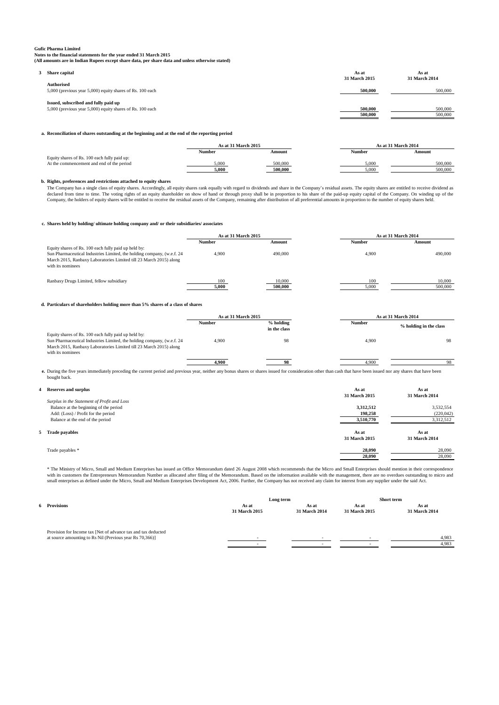**Notes to the financial statements for the year ended 31 March 2015**

#### **(All amounts are in Indian Rupees except share data, per share data and unless otherwise stated)**

| Share capital                                                                                     | As at<br>31 March 2015 | As at<br>31 March 2014 |
|---------------------------------------------------------------------------------------------------|------------------------|------------------------|
| <b>Authorised</b><br>5,000 (previous year 5,000) equity shares of Rs. 100 each                    | 500,000                | 500,000                |
| Issued, subscribed and fully paid up<br>5,000 (previous year 5,000) equity shares of Rs. 100 each | 500,000                | 500,000                |
|                                                                                                   | 500,000                | 500,000                |

#### **a. Reconciliation of shares outstanding at the beginning and at the end of the reporting period**

|                                              | As at 31 March 2015 |         |               | As at 31 March 2014 |
|----------------------------------------------|---------------------|---------|---------------|---------------------|
|                                              | Number              | Amount  | <b>Number</b> | Amount              |
| Equity shares of Rs. 100 each fully paid up: |                     |         |               |                     |
| At the commencement and end of the period    | 5.000               | 500,000 | 5.000         | 500,000             |
|                                              | 5.000               | 500,000 | 5.000         | 500,000             |
|                                              |                     |         |               |                     |

#### **b. Rights, preferences and restrictions attached to equity shares**

The Company has a single class of equity shares. Accordingly, all equity shares rank equally with regard to dividends and share in the Company's residual assets. The equity shares are entitled to receive dividend as  $\Gamma$ declared from time to time. The voting rights of an equity shareholder on show of hand or through proxy shall be in proportion to his share of the paid-up equity capital of the Company. On winding up of the<br>Company, the ho

#### **c. Shares held by holding/ ultimate holding company and/ or their subsidiaries/ associates**

|                                                                                                                                                                                                                           | As at 31 March 2015 |                   |              | As at 31 March 2014 |  |
|---------------------------------------------------------------------------------------------------------------------------------------------------------------------------------------------------------------------------|---------------------|-------------------|--------------|---------------------|--|
|                                                                                                                                                                                                                           | <b>Number</b>       | Amount            | Number       | Amount              |  |
| Equity shares of Rs. 100 each fully paid up held by:<br>Sun Pharmaceutical Industries Limited, the holding company, (w.e.f. 24<br>March 2015, Ranbaxy Laboratories Limited till 23 March 2015) along<br>with its nominees | 4.900               | 490,000           | 4.900        | 490,000             |  |
| Ranbaxy Drugs Limited, fellow subsidiary                                                                                                                                                                                  | 100<br>5.000        | 10,000<br>500,000 | 100<br>5.000 | 10,000<br>500,000   |  |

#### **d. Particulars of shareholders holding more than 5% shares of a class of shares**

|                                                                                                                                                                                                                           | As at 31 March 2015 |                             |               | As at 31 March 2014    |  |
|---------------------------------------------------------------------------------------------------------------------------------------------------------------------------------------------------------------------------|---------------------|-----------------------------|---------------|------------------------|--|
|                                                                                                                                                                                                                           | <b>Number</b>       | $%$ holding<br>in the class | <b>Number</b> | % holding in the class |  |
| Equity shares of Rs. 100 each fully paid up held by:<br>Sun Pharmaceutical Industries Limited, the holding company, (w.e.f. 24<br>March 2015, Ranbaxy Laboratories Limited till 23 March 2015) along<br>with its nominees | 4.900               | 98                          | 4.900         | 98                     |  |
|                                                                                                                                                                                                                           | 4,900               | 98                          | 4,900         | 98                     |  |

**e.** During the five years immediately preceding the current period and previous year, neither any bonus shares or shares issued for consideration other than cash that have been issued nor any shares that have been bought back.

| <b>Reserves and surplus</b>                 | As at<br>31 March 2015 | As at<br>31 March 2014 |
|---------------------------------------------|------------------------|------------------------|
| Surplus in the Statement of Profit and Loss |                        |                        |
| Balance at the beginning of the period      | 3,312,512              | 3,532,554              |
| Add: (Loss) / Profit for the period         | 198,258                | (220, 042)             |
| Balance at the end of the period            | 3,510,770              | 3,312,512              |
| 5 Trade payables                            | As at<br>31 March 2015 | As at<br>31 March 2014 |
| Trade payables *                            | 28,090                 | 28,090                 |
|                                             | 28,090                 | 28,090                 |
|                                             |                        |                        |

\* The Ministry of Micro, Small and Medium Enterprises has issued an Office Memorandum dated 26 August 2008 which recommends that the Micro and Small Enterprises should mention in their correspondence<br>with its customers the small enterprises as defined under the Micro, Small and Medium Enterprises Development Act, 2006. Further, the Company has not received any claim for interest from any supplier under the said Act.

|                                                                                                                           | Long term              |                        | Short term             |                        |
|---------------------------------------------------------------------------------------------------------------------------|------------------------|------------------------|------------------------|------------------------|
| <b>Provisions</b>                                                                                                         | As at<br>31 March 2015 | As at<br>31 March 2014 | As at<br>31 March 2015 | As at<br>31 March 2014 |
| Provision for Income tax [Net of advance tax and tax deducted<br>at source amounting to Rs Nil (Previous year Rs 70,366)] |                        |                        |                        | 4,983                  |
|                                                                                                                           |                        | <b>.</b>               |                        | 4,983                  |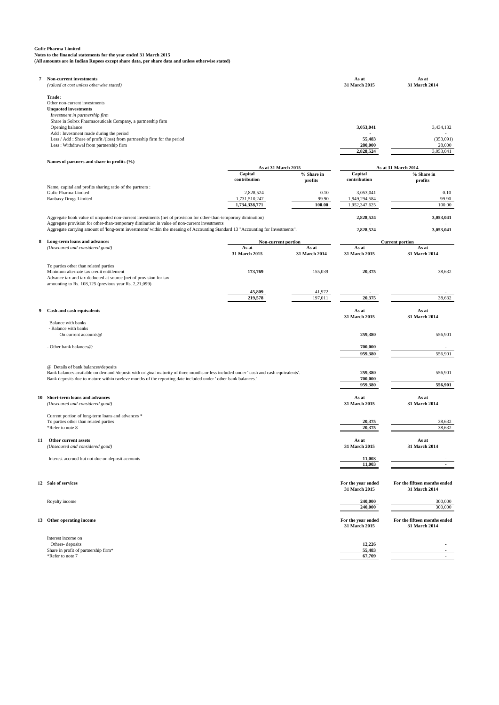**Gufic Pharma Limited Notes to the financial statements for the year ended 31 March 2015 (All amounts are in Indian Rupees except share data, per share data and unless otherwise stated)**

| 7  | Non-current investments<br>(valued at cost unless otherwise stated)                                                                                                                                                                                                                                                                               |                                                |                         | As at<br>31 March 2015                      | As at<br>31 March 2014                           |
|----|---------------------------------------------------------------------------------------------------------------------------------------------------------------------------------------------------------------------------------------------------------------------------------------------------------------------------------------------------|------------------------------------------------|-------------------------|---------------------------------------------|--------------------------------------------------|
|    | Trade:<br>Other non-current investments<br><b>Unquoted investments</b>                                                                                                                                                                                                                                                                            |                                                |                         |                                             |                                                  |
|    | Investment in partnership firm<br>Share in Solrex Pharmaceuticals Company, a partnership firm<br>Opening balance                                                                                                                                                                                                                                  |                                                |                         | 3,053,041                                   | 3,434,132                                        |
|    | Add : Investment made during the period<br>Less / Add : Share of profit /(loss) from partnership firm for the period<br>Less : Withdrawal from partnership firm                                                                                                                                                                                   |                                                |                         | 55,483<br>280,000                           | (353,091)<br>28,000                              |
|    | Names of partners and share in profits (%)                                                                                                                                                                                                                                                                                                        |                                                |                         | 2,828,524                                   | 3,053,041                                        |
|    |                                                                                                                                                                                                                                                                                                                                                   | As at 31 March 2015<br>Capital<br>contribution | % Share in<br>profits   | Capital<br>contribution                     | As at 31 March 2014<br>% Share in<br>profits     |
|    | Name, capital and profits sharing ratio of the partners :<br>Gufic Pharma Limited<br>Ranbaxy Drugs Limited                                                                                                                                                                                                                                        | 2,828,524<br>1,731,510,247<br>1,734,338,771    | 0.10<br>99.90<br>100.00 | 3,053,041<br>1,949,294,584<br>1,952,347,625 | 0.10<br>99.90<br>100.00                          |
|    | Aggregate book value of unquoted non-current investments (net of provision for other-than-temporary diminution)<br>Aggregate provision for other-than-temporary diminution in value of non-current investments<br>Aggregate carrying amount of 'long-term investments' within the meaning of Accounting Standard 13 "Accounting for Investments". |                                                |                         | 2,828,524<br>2,828,524                      | 3,053,041<br>3,053,041                           |
| 8  | Long-term loans and advances<br>(Unsecured and considered good)                                                                                                                                                                                                                                                                                   | Non-current portion<br>As at<br>31 March 2015  | As at<br>31 March 2014  | As at<br>31 March 2015                      | <b>Current portion</b><br>As at<br>31 March 2014 |
|    | To parties other than related parties<br>Minimum alternate tax credit entitlement<br>Advance tax and tax deducted at source [net of provision for tax<br>amounting to Rs. 108,125 (previous year Rs. 2,21,099)                                                                                                                                    | 173,769                                        | 155,039                 | 20,375                                      | 38,632                                           |
|    |                                                                                                                                                                                                                                                                                                                                                   | 45,809<br>219,578                              | 41,972<br>197,011       | 20,375                                      | 38,632                                           |
| 9  | Cash and cash equivalents<br>Balance with banks                                                                                                                                                                                                                                                                                                   |                                                |                         | As at<br>31 March 2015                      | As at<br>31 March 2014                           |
|    | - Balance with banks<br>On current accounts@                                                                                                                                                                                                                                                                                                      |                                                |                         | 259,380                                     | 556,901                                          |
|    | - Other bank balances@                                                                                                                                                                                                                                                                                                                            |                                                |                         | 700,000<br>959,380                          | 556,901                                          |
|    | @ Details of bank balances/deposits<br>Bank balances available on demand /deposit with original maturity of three months or less included under 'cash and cash equivalents'.<br>Bank deposits due to mature within tweleve months of the reporting date included under 'other bank balances.'                                                     |                                                |                         | 259,380<br>700,000<br>959,380               | 556,901<br>556,901                               |
| 10 | Short-term loans and advances<br>(Unsecured and considered good)                                                                                                                                                                                                                                                                                  |                                                |                         | As at<br>31 March 2015                      | As at<br>31 March 2014                           |
|    | Current portion of long-term loans and advances *<br>To parties other than related parties<br>*Refer to note 8                                                                                                                                                                                                                                    |                                                |                         | 20,375<br>20.375                            | 38,632<br>38,632                                 |
| 11 | Other current assets<br>(Unsecured and considered good)                                                                                                                                                                                                                                                                                           |                                                |                         | As at<br>31 March 2015                      | As at<br>31 March 2014                           |
|    | Interest accrued but not due on deposit accounts                                                                                                                                                                                                                                                                                                  |                                                |                         | 11,003<br>11,003                            |                                                  |
|    | 12 Sale of services                                                                                                                                                                                                                                                                                                                               |                                                |                         | For the year ended<br>31 March 2015         | For the fifteen months ended<br>31 March 2014    |
|    | Royalty income                                                                                                                                                                                                                                                                                                                                    |                                                |                         | 240,000<br>240,000                          | 300,000<br>300,000                               |
|    | 13 Other operating income                                                                                                                                                                                                                                                                                                                         |                                                |                         | For the year ended<br>31 March 2015         | For the fifteen months ended<br>31 March 2014    |
|    | Interest income on<br>Others-deposits<br>Share in profit of partnership firm*<br>*Refer to note 7                                                                                                                                                                                                                                                 |                                                |                         | 12,226<br>55,483<br>67,709                  |                                                  |